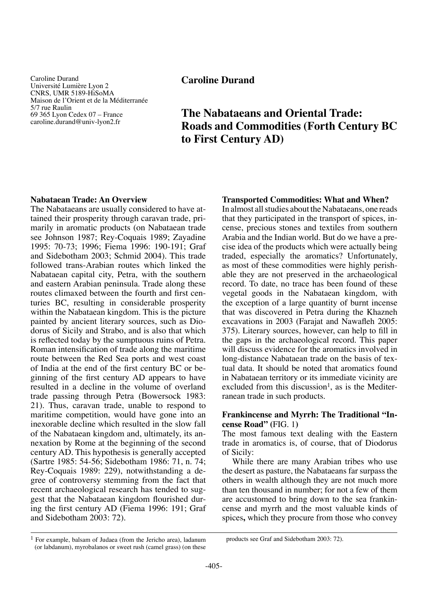Caroline Durand Université Lumière Lyon 2 CNRS, UMR 5189-HiSoMA Maison de l'Orient et de la Méditerranée 5/7 rue Raulin 69 365 Lyon Cedex 07 – France caroline.durand@univ-lyon2.fr

## **Caroline Durand**

# **The Nabataeans and Oriental Trade: Roads and Commodities (Forth Century BC to First Century AD)**

### **Nabataean Trade: An Overview**

The Nabataeans are usually considered to have attained their prosperity through caravan trade, primarily in aromatic products (on Nabataean trade see Johnson 1987; Rey-Coquais 1989; Zayadine 1995: 70-73; 1996; Fiema 1996: 190-191; Graf and Sidebotham 2003; Schmid 2004). This trade followed trans-Arabian routes which linked the Nabataean capital city, Petra, with the southern and eastern Arabian peninsula. Trade along these routes climaxed between the fourth and first centuries BC, resulting in considerable prosperity within the Nabataean kingdom. This is the picture painted by ancient literary sources, such as Diodorus of Sicily and Strabo, and is also that which is reflected today by the sumptuous ruins of Petra. Roman intensification of trade along the maritime route between the Red Sea ports and west coast of India at the end of the first century BC or beginning of the first century AD appears to have resulted in a decline in the volume of overland trade passing through Petra (Bowersock 1983: 21). Thus, caravan trade, unable to respond to maritime competition, would have gone into an inexorable decline which resulted in the slow fall of the Nabataean kingdom and, ultimately, its annexation by Rome at the beginning of the second century AD. This hypothesis is generally accepted (Sartre 1985: 54-56; Sidebotham 1986: 71, n. 74; Rey-Coquais 1989: 229), notwithstanding a degree of controversy stemming from the fact that recent archaeological research has tended to suggest that the Nabataean kingdom flourished during the first century AD (Fiema 1996: 191; Graf and Sidebotham 2003: 72).

### **Transported Commodities: What and When?**

In almost all studies about the Nabataeans, one reads that they participated in the transport of spices, incense, precious stones and textiles from southern Arabia and the Indian world. But do we have a precise idea of the products which were actually being traded, especially the aromatics? Unfortunately, as most of these commodities were highly perishable they are not preserved in the archaeological record. To date, no trace has been found of these vegetal goods in the Nabataean kingdom, with the exception of a large quantity of burnt incense that was discovered in Petra during the Khazneh excavations in 2003 (Farajat and Nawafleh 2005: 375). Literary sources, however, can help to fill in the gaps in the archaeological record. This paper will discuss evidence for the aromatics involved in long-distance Nabataean trade on the basis of textual data. It should be noted that aromatics found in Nabataean territory or its immediate vicinity are excluded from this discussion<sup>1</sup>, as is the Mediterranean trade in such products.

### **Frankincense and Myrrh: The Traditional "Incense Road" (**FIG. 1**)**

The most famous text dealing with the Eastern trade in aromatics is, of course, that of Diodorus of Sicily:

While there are many Arabian tribes who use the desert as pasture, the Nabataeans far surpass the others in wealth although they are not much more than ten thousand in number; for not a few of them are accustomed to bring down to the sea frankincense and myrrh and the most valuable kinds of spices**,** which they procure from those who convey

 $<sup>1</sup>$  For example, balsam of Judaea (from the Jericho area), ladanum</sup> (or labdanum), myrobalanos or sweet rush (camel grass) (on these

products see Graf and Sidebotham 2003: 72).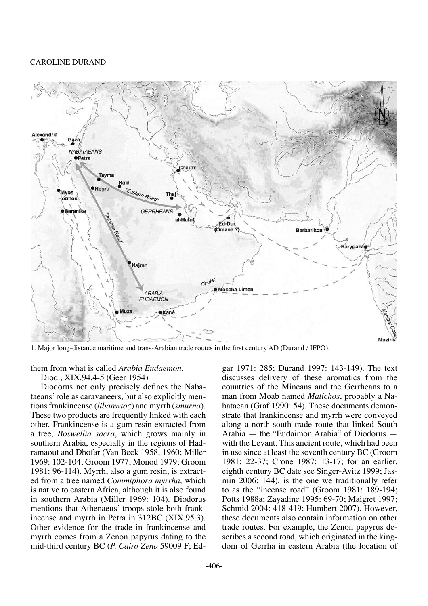

1. Major long-distance maritime and trans-Arabian trade routes in the first century AD (Durand / IFPO).

### them from what is called *Arabia Eudaemon*.

Diod., XIX.94.4-5 (Geer 1954)

Diodorus not only precisely defines the Nabataeans' role as caravaneers, but also explicitly mentions frankincense (*libanwtoς*) and myrrh (*smurna*). These two products are frequently linked with each other. Frankincense is a gum resin extracted from a tree, *Boswellia sacra*, which grows mainly in southern Arabia, especially in the regions of Hadramaout and Dhofar (Van Beek 1958, 1960; Miller 1969: 102-104; Groom 1977; Monod 1979; Groom 1981: 96-114). Myrrh, also a gum resin, is extracted from a tree named *Commiphora myrrha,* which is native to eastern Africa, although it is also found in southern Arabia (Miller 1969: 104). Diodorus mentions that Athenaeus' troops stole both frankincense and myrrh in Petra in 312BC (XIX.95.3). Other evidence for the trade in frankincense and myrrh comes from a Zenon papyrus dating to the mid-third century BC (*P. Cairo Zeno* 59009 F; Edgar 1971: 285; Durand 1997: 143-149). The text discusses delivery of these aromatics from the countries of the Mineans and the Gerrheans to a man from Moab named *Malichos*, probably a Nabataean (Graf 1990: 54). These documents demonstrate that frankincense and myrrh were conveyed along a north-south trade route that linked South Arabia — the "Eudaimon Arabia" of Diodorus with the Levant. This ancient route, which had been in use since at least the seventh century BC (Groom 1981: 22-37; Crone 1987: 13-17; for an earlier, eighth century BC date see Singer-Avitz 1999; Jasmin 2006: 144), is the one we traditionally refer to as the "incense road" (Groom 1981: 189-194; Potts 1988a; Zayadine 1995: 69-70; Maigret 1997; Schmid 2004: 418-419; Humbert 2007). However, these documents also contain information on other trade routes. For example, the Zenon papyrus describes a second road, which originated in the kingdom of Gerrha in eastern Arabia (the location of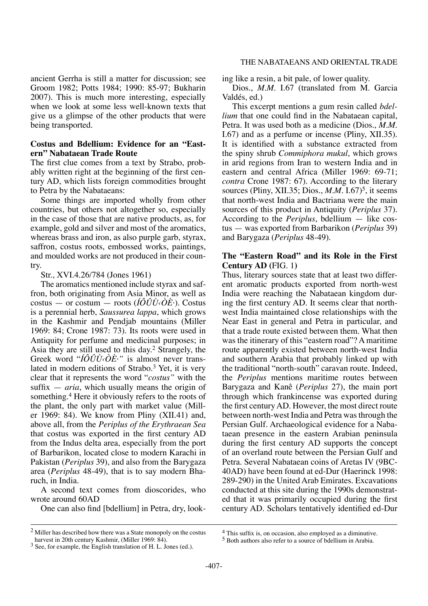ancient Gerrha is still a matter for discussion; see Groom 1982; Potts 1984; 1990: 85-97; Bukharin 2007). This is much more interesting, especially when we look at some less well-known texts that give us a glimpse of the other products that were being transported.

### **Costus and Bdellium: Evidence for an "Eastern" Nabataean Trade Route**

The first clue comes from a text by Strabo, probably written right at the beginning of the first century AD, which lists foreign commodities brought to Petra by the Nabataeans:

Some things are imported wholly from other countries, but others not altogether so, especially in the case of those that are native products, as, for example, gold and silver and most of the aromatics, whereas brass and iron, as also purple garb, styrax, saffron, costus roots, embossed works, paintings, and moulded works are not produced in their country.

Str., XVI.4.26/784 (Jones 1961)

The aromatics mentioned include styrax and saffron, both originating from Asia Minor, as well as costus — or costum — roots (*ÍÔÛÙ‹ÒÈ·*). Costus is a perennial herb, *Saussurea lappa*, which grows in the Kashmir and Pendjab mountains (Miller 1969: 84; Crone 1987: 73). Its roots were used in Antiquity for perfume and medicinal purposes; in Asia they are still used to this day.2 Strangely, the Greek word "*ÍÔÛÙ‹ÒÈ·"* is almost never translated in modern editions of Strabo.3 Yet, it is very clear that it represents the word "*costus"* with the suffix — *aria*, which usually means the origin of something.<sup>4</sup> Here it obviously refers to the roots of the plant, the only part with market value (Miller 1969: 84). We know from Pliny (XII.41) and, above all, from the *Periplus of the Erythraean Sea*  that costus was exported in the first century AD from the Indus delta area, especially from the port of Barbarikon, located close to modern Karachi in Pakistan (*Periplus* 39), and also from the Barygaza area (*Periplus* 48-49), that is to say modern Bharuch, in India.

A second text comes from dioscorides, who wrote around 60AD

One can also find [bdellium] in Petra, dry, look-

ing like a resin, a bit pale, of lower quality.

Dios., *M.M.* I.67 (translated from M. Garcia Valdés, ed.)

This excerpt mentions a gum resin called *bdellium* that one could find in the Nabataean capital, Petra. It was used both as a medicine (Dios., *M.M.* I.67) and as a perfume or incense (Pliny, XII.35). It is identified with a substance extracted from the spiny shrub *Commiphora mukul*, which grows in arid regions from Iran to western India and in eastern and central Africa (Miller 1969: 69-71; *contra* Crone 1987: 67). According to the literary sources (Pliny, XII.35; Dios.,  $M.M.$  I.67)<sup>5</sup>, it seems that north-west India and Bactriana were the main sources of this product in Antiquity (*Periplus* 37). According to the *Periplus*, bdellium — like costus — was exported from Barbarikon (*Periplus* 39) and Barygaza (*Periplus* 48-49).

### **The "Eastern Road" and its Role in the First Century AD (**FIG. 1**)**

Thus, literary sources state that at least two different aromatic products exported from north-west India were reaching the Nabataean kingdom during the first century AD. It seems clear that northwest India maintained close relationships with the Near East in general and Petra in particular, and that a trade route existed between them. What then was the itinerary of this "eastern road"? A maritime route apparently existed between north-west India and southern Arabia that probably linked up with the traditional "north-south" caravan route. Indeed, the *Periplus* mentions maritime routes between Barygaza and Kanê (*Periplus* 27), the main port through which frankincense was exported during the first century AD. However, the most direct route between north-west India and Petra was through the Persian Gulf. Archaeological evidence for a Nabataean presence in the eastern Arabian peninsula during the first century AD supports the concept of an overland route between the Persian Gulf and Petra. Several Nabataean coins of Aretas IV (9BC-40AD) have been found at ed-Dur (Haerinck 1998: 289-290) in the United Arab Emirates. Excavations conducted at this site during the 1990s demonstrated that it was primarily occupied during the first century AD. Scholars tentatively identified ed-Dur

<sup>&</sup>lt;sup>2</sup> Miller has described how there was a State monopoly on the costus harvest in 20th century Kashmir, (Miller 1969: 84).

<sup>&</sup>lt;sup>3</sup> See, for example, the English translation of H. L. Jones (ed.).

<sup>4</sup> This suffix is, on occasion, also employed as a diminutive.

<sup>5</sup> Both authors also refer to a source of bdellium in Arabia.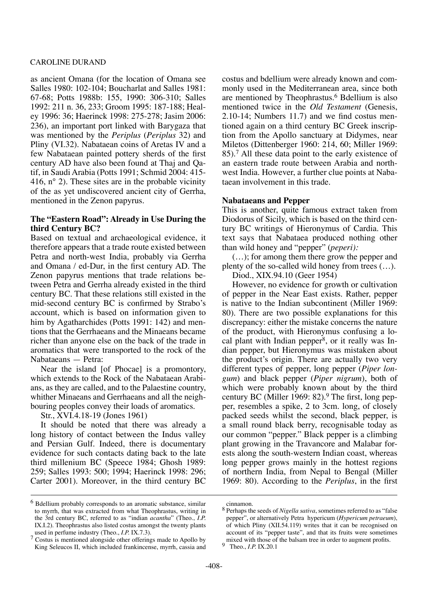as ancient Omana (for the location of Omana see Salles 1980: 102-104; Boucharlat and Salles 1981: 67-68; Potts 1988b: 155, 1990: 306-310; Salles 1992: 211 n. 36, 233; Groom 1995: 187-188; Healey 1996: 36; Haerinck 1998: 275-278; Jasim 2006: 236), an important port linked with Barygaza that was mentioned by the *Periplus* (*Periplus* 32) and Pliny (VI.32). Nabataean coins of Aretas IV and a few Nabataean painted pottery sherds of the first century AD have also been found at Thaj and Qatif, in Saudi Arabia (Potts 1991; Schmid 2004: 415- 416, n° 2). These sites are in the probable vicinity of the as yet undiscovered ancient city of Gerrha, mentioned in the Zenon papyrus.

### **The "Eastern Road": Already in Use During the third Century BC?**

Based on textual and archaeological evidence, it therefore appears that a trade route existed between Petra and north-west India, probably via Gerrha and Omana / ed-Dur, in the first century AD. The Zenon papyrus mentions that trade relations between Petra and Gerrha already existed in the third century BC. That these relations still existed in the mid-second century BC is confirmed by Strabo's account, which is based on information given to him by Agatharchides (Potts 1991: 142) and mentions that the Gerrhaeans and the Minaeans became richer than anyone else on the back of the trade in aromatics that were transported to the rock of the Nabataeans — Petra:

Near the island [of Phocae] is a promontory, which extends to the Rock of the Nabataean Arabians, as they are called, and to the Palaestine country, whither Minaeans and Gerrhaeans and all the neighbouring peoples convey their loads of aromatics.

Str., XVI.4.18-19 (Jones 1961)

It should be noted that there was already a long history of contact between the Indus valley and Persian Gulf. Indeed, there is documentary evidence for such contacts dating back to the late third millenium BC (Speece 1984; Ghosh 1989: 259; Salles 1993: 500; 1994; Haerinck 1998: 296; Carter 2001). Moreover, in the third century BC

costus and bdellium were already known and commonly used in the Mediterranean area, since both are mentioned by Theophrastus.6 Bdellium is also mentioned twice in the *Old Testament* (Genesis, 2.10-14; Numbers 11.7) and we find costus mentioned again on a third century BC Greek inscription from the Apollo sanctuary at Didymes, near Miletos (Dittenberger 1960: 214, 60; Miller 1969: 85).7 All these data point to the early existence of an eastern trade route between Arabia and northwest India. However, a further clue points at Nabataean involvement in this trade.

### **Nabataeans and Pepper**

This is another, quite famous extract taken from Diodorus of Sicily, which is based on the third century BC writings of Hieronymus of Cardia. This text says that Nabataea produced nothing other than wild honey and "pepper" (*peperi):*

(…); for among them there grow the pepper and plenty of the so-called wild honey from trees (…).

Diod., XIX.94.10 (Geer 1954)

However, no evidence for growth or cultivation of pepper in the Near East exists. Rather, pepper is native to the Indian subcontinent (Miller 1969: 80). There are two possible explanations for this discrepancy: either the mistake concerns the nature of the product, with Hieronymus confusing a local plant with Indian pepper<sup>8</sup>, or it really was Indian pepper, but Hieronymus was mistaken about the product's origin. There are actually two very different types of pepper, long pepper (*Piper longum*) and black pepper (*Piper nigrum*), both of which were probably known about by the third century BC (Miller 1969: 82).9 The first, long pepper, resembles a spike, 2 to 3cm. long, of closely packed seeds whilst the second, black pepper, is a small round black berry, recognisable today as our common "pepper." Black pepper is a climbing plant growing in the Travancore and Malabar forests along the south-western Indian coast, whereas long pepper grows mainly in the hottest regions of northern India, from Nepal to Bengal (Miller 1969: 80). According to the *Periplus*, in the first

<sup>6</sup> Bdellium probably corresponds to an aromatic substance, similar to myrrh, that was extracted from what Theophrastus, writing in the 3rd century BC, referred to as "indian *acantha*" (Theo., *I.P.* IX.I.2). Theophrastus also listed costus amongst the twenty plants used in perfume industry (Theo., *I.P.* IX.7.3).

<sup>7</sup> Costus is mentioned alongside other offerings made to Apollo by King Seleucos II, which included frankincense, myrrh, cassia and

cinnamon.

<sup>8</sup> Perhaps the seeds of *Nigella sativa*, sometimes referred to as "false pepper", or alternatively Petra hypericum (*Hypericum petraeum*), of which Pliny (XII.54.119) writes that it can be recognised on account of its "pepper taste", and that its fruits were sometimes mixed with those of the balsam tree in order to augment profits.

<sup>9</sup> Theo., *I.P.* IX.20.1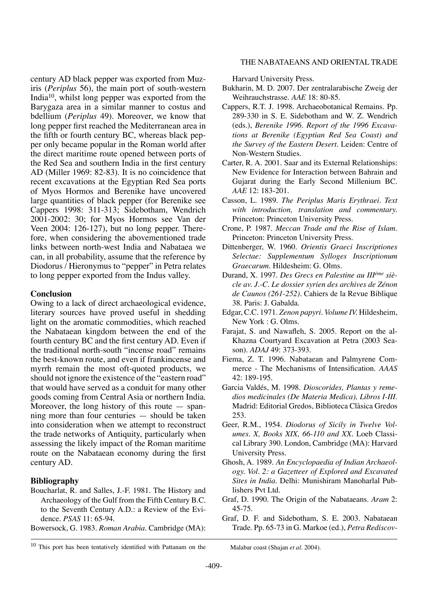century AD black pepper was exported from Muziris (*Periplus* 56), the main port of south-western India10, whilst long pepper was exported from the Barygaza area in a similar manner to costus and bdellium (*Periplus* 49). Moreover, we know that long pepper first reached the Mediterranean area in the fifth or fourth century BC, whereas black pepper only became popular in the Roman world after the direct maritime route opened between ports of the Red Sea and southern India in the first century AD (Miller 1969: 82-83). It is no coincidence that recent excavations at the Egyptian Red Sea ports of Myos Hormos and Berenike have uncovered large quantities of black pepper (for Berenike see Cappers 1998: 311-313; Sidebotham, Wendrich 2001-2002: 30; for Myos Hormos see Van der Veen 2004: 126-127), but no long pepper. Therefore, when considering the abovementioned trade links between north-west India and Nabataea we can, in all probability, assume that the reference by Diodorus / Hieronymus to "pepper" in Petra relates to long pepper exported from the Indus valley.

### **Conclusion**

Owing to a lack of direct archaeological evidence, literary sources have proved useful in shedding light on the aromatic commodities, which reached the Nabataean kingdom between the end of the fourth century BC and the first century AD. Even if the traditional north-south "incense road" remains the best-known route, and even if frankincense and myrrh remain the most oft-quoted products, we should not ignore the existence of the "eastern road" that would have served as a conduit for many other goods coming from Central Asia or northern India. Moreover, the long history of this route  $-$  spanning more than four centuries — should be taken into consideration when we attempt to reconstruct the trade networks of Antiquity, particularly when assessing the likely impact of the Roman maritime route on the Nabataean economy during the first century AD.

### **Bibliography**

- Boucharlat, R. and Salles, J.-F. 1981. The History and Archaeology of the Gulf from the Fifth Century B.C. to the Seventh Century A.D.: a Review of the Evidence. *PSAS* 11: 65-94.
- Bowersock, G. 1983. *Roman Arabia.* Cambridge (MA):

### The Nabataeans and Oriental Trade

Harvard University Press.

- Bukharin, M. D. 2007. Der zentralarabische Zweig der Weihrauchstrasse. *AAE* 18: 80-85.
- Cappers, R.T. J. 1998. Archaeobotanical Remains. Pp. 289-330 in S. E. Sidebotham and W. Z. Wendrich (eds.), *Berenike 1996. Report of the 1996 Excavations at Berenike (Egyptian Red Sea Coast) and the Survey of the Eastern Desert.* Leiden: Centre of Non-Western Studies.
- Carter, R. A. 2001. Saar and its External Relationships: New Evidence for Interaction between Bahrain and Gujarat during the Early Second Millenium BC. *AAE* 12: 183-201.
- Casson, L. 1989. *The Periplus Maris Erythraei. Text with introduction, translation and commentary.* Princeton: Princeton University Press.
- Crone, P. 1987. *Meccan Trade and the Rise of Islam.* Princeton: Princeton University Press.
- Dittenberger, W. 1960. *Orientis Graeci Inscriptiones Selectae: Supplementum Sylloges Inscriptionum Graecarum.* Hildesheim: G. Olms.
- Durand, X. 1997. *Des Grecs en Palestine au IIIème siècle av. J.-C. Le dossier syrien des archives de Zénon de Caunos (261-252).* Cahiers de la Revue Biblique 38. Paris: J. Gabalda.
- Edgar, C.C. 1971. *Zenon papyri. Volume IV.* Hildesheim, New York : G. Olms.
- Farajat, S. and Nawafleh, S. 2005. Report on the al-Khazna Courtyard Excavation at Petra (2003 Season). *ADAJ* 49: 373-393.
- Fiema, Z. T. 1996. Nabataean and Palmyrene Commerce - The Mechanisms of Intensification. *AAAS* 42: 189-195.
- Garcia Valdés, M. 1998. *Dioscorides, Plantas y remedios medicinales (De Materia Medica), Libros I-III.* Madrid: Editorial Gredos, Biblioteca Clàsica Gredos 253.
- Geer, R.M., 1954. *Diodorus of Sicily in Twelve Volumes. X, Books XIX, 66-110 and XX.* Loeb Classical Library 390. London, Cambridge (MA): Harvard University Press.
- Ghosh, A. 1989. *An Encyclopaedia of Indian Archaeology. Vol. 2: a Gazetteer of Explored and Excavated Sites in India.* Delhi: Munishiram Manoharlal Publishers Pvt Ltd.
- Graf, D. 1990. The Origin of the Nabataeans. *Aram* 2: 45-75.
- Graf, D. F. and Sidebotham, S. E. 2003. Nabataean Trade. Pp. 65-73 in G. Markoe (ed.), *Petra Rediscov-*

<sup>&</sup>lt;sup>10</sup> This port has been tentatively identified with Pattanam on the Malabar coast (Shajan *et al.* 2004).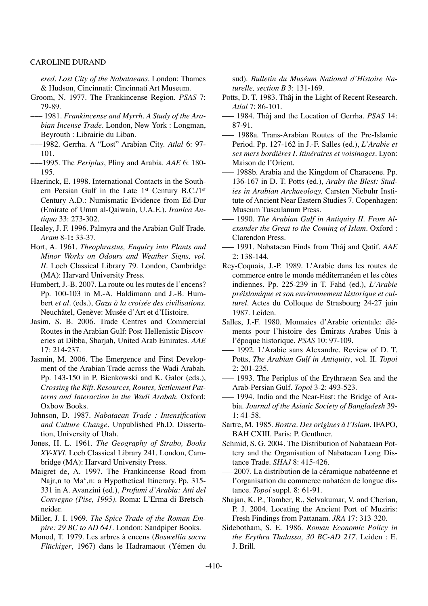*ered. Lost City of the Nabataeans.* London: Thames & Hudson, Cincinnati: Cincinnati Art Museum.

- Groom, N. 1977. The Frankincense Region. *PSAS* 7: 79-89.
- ––– 1981. *Frankincense and Myrrh. A Study of the Arabian Incense Trade.* London, New York : Longman, Beyrouth : Librairie du Liban.
- –––1982. Gerrha. A "Lost" Arabian City. *Atlal* 6: 97- 101.
- –––1995. The *Periplus*, Pliny and Arabia. *AAE* 6: 180- 195.
- Haerinck, E. 1998. International Contacts in the Southern Persian Gulf in the Late 1st Century B.C./1st Century A.D.: Numismatic Evidence from Ed-Dur (Emirate of Umm al-Qaiwain, U.A.E.). *Iranica Antiqua* 33: 273-302.
- Healey, J. F. 1996. Palmyra and the Arabian Gulf Trade. *Aram* 8-1**:** 33-37.
- Hort, A. 1961. *Theophrastus, Enquiry into Plants and Minor Works on Odours and Weather Signs, vol. II*. Loeb Classical Library 79. London, Cambridge (MA): Harvard University Press.
- Humbert, J.-B. 2007. La route ou les routes de l'encens? Pp. 100-103 in M.-A. Haldimann and J.-B. Humbert *et al.* (eds.), *Gaza à la croisée des civilisations.* Neuchâtel, Genève: Musée d'Art et d'Histoire.
- Jasim, S. B. 2006. Trade Centres and Commercial Routes in the Arabian Gulf: Post-Hellenistic Discoveries at Dibba, Sharjah, United Arab Emirates. *AAE* 17: 214-237.
- Jasmin, M. 2006. The Emergence and First Development of the Arabian Trade across the Wadi Arabah. Pp. 143-150 in P. Bienkowski and K. Galor (eds.), *Crossing the Rift. Resources, Routes, Settlement Patterns and Interaction in the Wadi Arabah.* Oxford: Oxbow Books.
- Johnson, D. 1987. *Nabataean Trade : Intensification and Culture Change.* Unpublished Ph.D. Dissertation, University of Utah.
- Jones, H. L. 1961. *The Geography of Strabo, Books XV-XVI.* Loeb Classical Library 241. London, Cambridge (MA): Harvard University Press.
- Maigret de, A. 1997. The Frankincense Road from Najr, n to Ma', n: a Hypothetical Itinerary. Pp. 315-331 in A. Avanzini (ed.), *Profumi d'Arabia: Atti del Convegno (Pise, 1995).* Roma: L'Erma di Bretschneider.
- Miller, J. I. 1969. *The Spice Trade of the Roman Empire: 29 BC to AD 641.* London: Sandpiper Books.
- Monod, T. 1979. Les arbres à encens (*Boswellia sacra Flückiger*, 1967) dans le Hadramaout (Yémen du

sud). *Bulletin du Muséum National d'Histoire Naturelle, section B* 3: 131-169.

- Potts, D. T. 1983. Thâj in the Light of Recent Research. *Atlal* 7: 86-101.
- ––– 1984. Thâj and the Location of Gerrha. *PSAS* 14: 87-91.
- ––– 1988a. Trans-Arabian Routes of the Pre-Islamic Period. Pp. 127-162 in J.-F. Salles (ed.), *L'Arabie et ses mers bordières I. Itinéraires et voisinages.* Lyon: Maison de l'Orient.
- 1988b. Arabia and the Kingdom of Characene. Pp. 136-167 in D. T. Potts (ed.), *Araby the Blest: Studies in Arabian Archaeology.* Carsten Niebuhr Institute of Ancient Near Eastern Studies 7. Copenhagen: Museum Tusculanum Press.
- ––– 1990. *The Arabian Gulf in Antiquity II. From Alexander the Great to the Coming of Islam.* Oxford : Clarendon Press.
- ––– 1991. Nabataean Finds from Thâj and Qatif. *AAE* 2: 138-144.
- Rey-Coquais, J.-P. 1989. L'Arabie dans les routes de commerce entre le monde méditerranéen et les côtes indiennes. Pp. 225-239 in T. Fahd (ed.), *L'Arabie préislamique et son environnement historique et culturel*. Actes du Colloque de Strasbourg 24-27 juin 1987. Leiden.
- Salles, J.-F. 1980. Monnaies d'Arabie orientale: éléments pour l'histoire des Émirats Arabes Unis à l'époque historique. *PSAS* 10: 97-109.
- ––– 1992. L'Arabie sans Alexandre. Review of D. T. Potts, *The Arabian Gulf in Antiquity*, vol. II. *Topoi* 2: 201-235.
- ––– 1993. The Periplus of the Erythraean Sea and the Arab-Persian Gulf. *Topoi* 3-2: 493-523.
- 1994. India and the Near-East: the Bridge of Arabia. *Journal of the Asiatic Society of Bangladesh* 39- 1: 41-58.
- Sartre, M. 1985. *Bostra. Des origines à l'Islam.* IFAPO, BAH CXIII. Paris: P. Geuthner.
- Schmid, S. G. 2004. The Distribution of Nabataean Pottery and the Organisation of Nabataean Long Distance Trade. *SHAJ* 8: 415-426.
- –––2007. La distribution de la céramique nabatéenne et l'organisation du commerce nabatéen de longue distance. *Topoi* suppl. 8: 61-91.
- Shajan, K. P., Tomber, R., Selvakumar, V. and Cherian, P. J. 2004. Locating the Ancient Port of Muziris: Fresh Findings from Pattanam. *JRA* 17: 313-320.
- Sidebotham, S. E. 1986. *Roman Economic Policy in the Erythra Thalassa, 30 BC-AD 217.* Leiden : E. J. Brill.